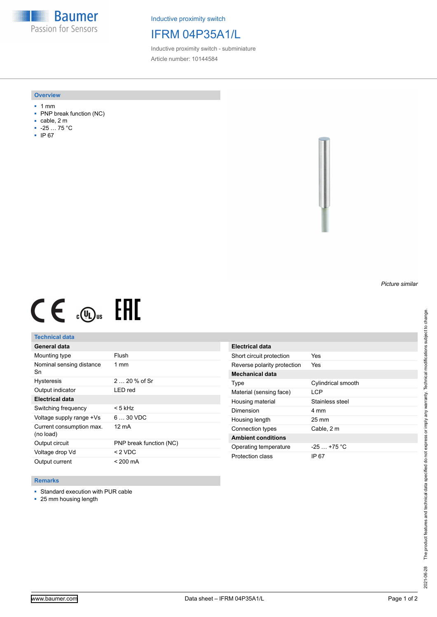**Baumer** Passion for Sensors

Inductive proximity switch

## IFRM 04P35A1/L

Inductive proximity switch - subminiature Article number: 10144584

#### **Overview**

- 1 mm
- PNP break function (NC)
- cable, 2 m
- -25 … 75 °C
- IP 67



# $CE \mathcal{L}$  (Dus FRE

## **Technical data**

| General data                          |                         |
|---------------------------------------|-------------------------|
| Mounting type                         | Flush                   |
| Nominal sensing distance<br>Sn        | $1 \text{ mm}$          |
| <b>Hysteresis</b>                     | $220%$ of Sr            |
| Output indicator                      | LED red                 |
| <b>Electrical data</b>                |                         |
| Switching frequency                   | $< 5$ kHz               |
| Voltage supply range +Vs              | $630$ VDC               |
| Current consumption max.<br>(no load) | 12 mA                   |
| Output circuit                        | PNP break function (NC) |
| Voltage drop Vd                       | $<$ 2 VDC               |
| Output current                        | < 200 mA                |

| Electrical data             |                    |
|-----------------------------|--------------------|
| Short circuit protection    | Yes                |
| Reverse polarity protection | Yes                |
| Mechanical data             |                    |
| Type                        | Cylindrical smooth |
| Material (sensing face)     | I CP               |
| Housing material            | Stainless steel    |
| Dimension                   | 4 mm               |
| Housing length              | $25 \,\mathrm{mm}$ |
| Connection types            | Cable, 2 m         |
| <b>Ambient conditions</b>   |                    |
| Operating temperature       | $-25 + 75$ °C      |
| Protection class            | IP 67              |

### **Remarks**

■ Standard execution with PUR cable

■ 25 mm housing length

*Picture similar*